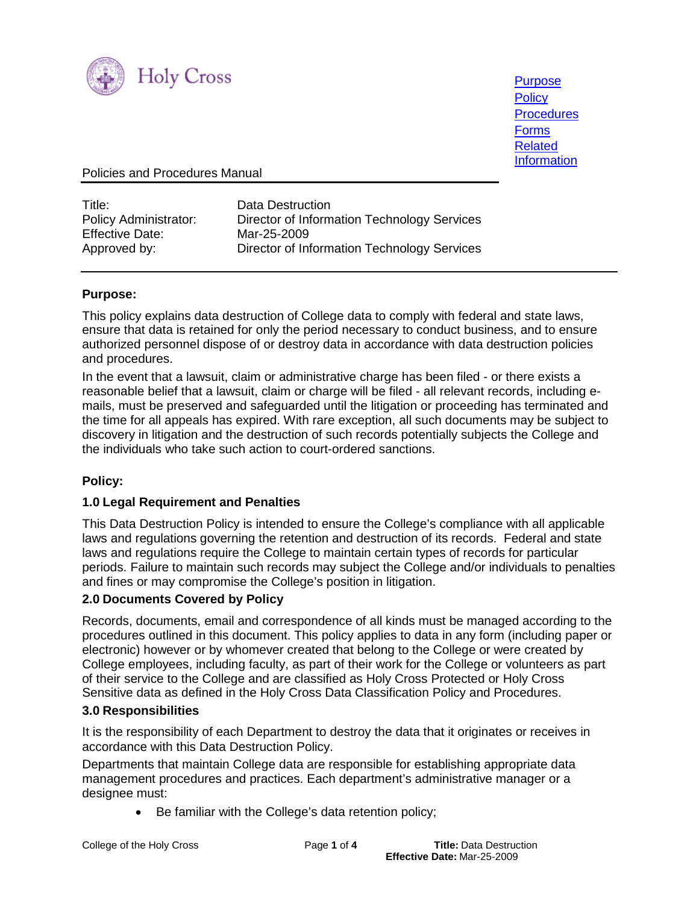

**[Purpose](#page-0-0) [Policy](#page-0-1) [Procedures](#page-1-0)** [Forms](#page-2-0) Related Information

#### Policies and Procedures Manual

| Title:<br>Policy Administrator: | <b>Data Destruction</b><br>Director of Information Technology Services |
|---------------------------------|------------------------------------------------------------------------|
| <b>Effective Date:</b>          | Mar-25-2009                                                            |
| Approved by:                    | Director of Information Technology Services                            |

#### <span id="page-0-0"></span>**Purpose:**

This policy explains data destruction of College data to comply with federal and state laws, ensure that data is retained for only the period necessary to conduct business, and to ensure authorized personnel dispose of or destroy data in accordance with data destruction policies and procedures.

In the event that a lawsuit, claim or administrative charge has been filed - or there exists a reasonable belief that a lawsuit, claim or charge will be filed - all relevant records, including emails, must be preserved and safeguarded until the litigation or proceeding has terminated and the time for all appeals has expired. With rare exception, all such documents may be subject to discovery in litigation and the destruction of such records potentially subjects the College and the individuals who take such action to court-ordered sanctions.

## <span id="page-0-1"></span>**Policy:**

#### **1.0 Legal Requirement and Penalties**

This Data Destruction Policy is intended to ensure the College's compliance with all applicable laws and regulations governing the retention and destruction of its records. Federal and state laws and regulations require the College to maintain certain types of records for particular periods. Failure to maintain such records may subject the College and/or individuals to penalties and fines or may compromise the College's position in litigation.

#### **2.0 Documents Covered by Policy**

Records, documents, email and correspondence of all kinds must be managed according to the procedures outlined in this document. This policy applies to data in any form (including paper or electronic) however or by whomever created that belong to the College or were created by College employees, including faculty, as part of their work for the College or volunteers as part of their service to the College and are classified as Holy Cross Protected or Holy Cross Sensitive data as defined in the Holy Cross Data Classification Policy and Procedures.

#### **3.0 Responsibilities**

It is the responsibility of each Department to destroy the data that it originates or receives in accordance with this Data Destruction Policy.

Departments that maintain College data are responsible for establishing appropriate data management procedures and practices. Each department's administrative manager or a designee must:

• Be familiar with the College's data retention policy;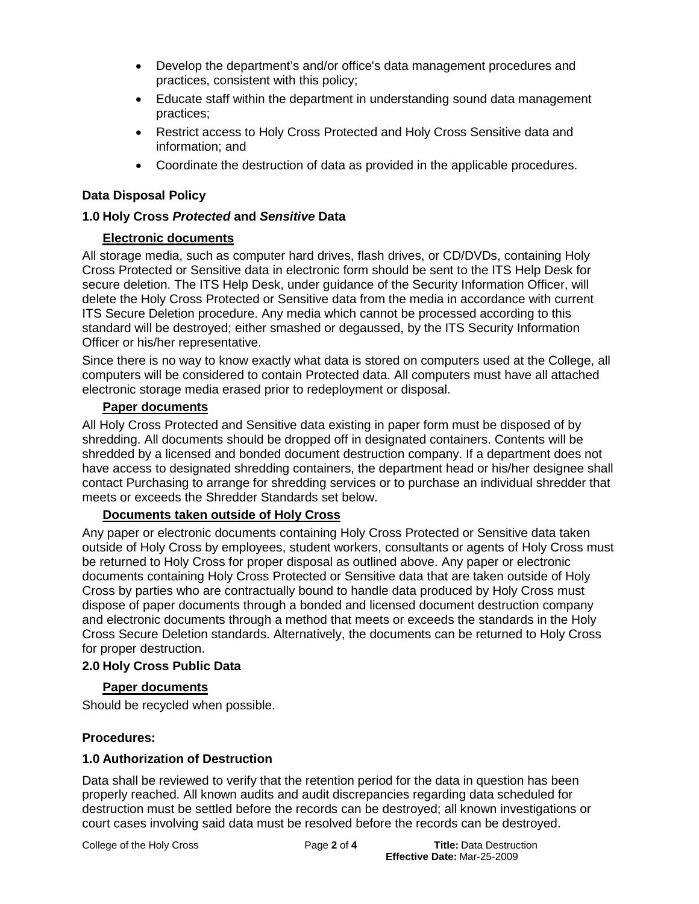- Develop the department's and/or office's data management procedures and practices, consistent with this policy;
- Educate staff within the department in understanding sound data management practices;
- Restrict access to Holy Cross Protected and Holy Cross Sensitive data and information; and
- Coordinate the destruction of data as provided in the applicable procedures.

# **Data Disposal Policy**

# **1.0 Holy Cross** *Protected* **and** *Sensitive* **Data**

## **Electronic documents**

All storage media, such as computer hard drives, flash drives, or CD/DVDs, containing Holy Cross Protected or Sensitive data in electronic form should be sent to the ITS Help Desk for secure deletion. The ITS Help Desk, under guidance of the Security Information Officer, will delete the Holy Cross Protected or Sensitive data from the media in accordance with current ITS Secure Deletion procedure. Any media which cannot be processed according to this standard will be destroyed; either smashed or degaussed, by the ITS Security Information Officer or his/her representative.

Since there is no way to know exactly what data is stored on computers used at the College, all computers will be considered to contain Protected data. All computers must have all attached electronic storage media erased prior to redeployment or disposal.

## **Paper documents**

All Holy Cross Protected and Sensitive data existing in paper form must be disposed of by shredding. All documents should be dropped off in designated containers. Contents will be shredded by a licensed and bonded document destruction company. If a department does not have access to designated shredding containers, the department head or his/her designee shall contact Purchasing to arrange for shredding services or to purchase an individual shredder that meets or exceeds the Shredder Standards set below.

## **Documents taken outside of Holy Cross**

Any paper or electronic documents containing Holy Cross Protected or Sensitive data taken outside of Holy Cross by employees, student workers, consultants or agents of Holy Cross must be returned to Holy Cross for proper disposal as outlined above. Any paper or electronic documents containing Holy Cross Protected or Sensitive data that are taken outside of Holy Cross by parties who are contractually bound to handle data produced by Holy Cross must dispose of paper documents through a bonded and licensed document destruction company and electronic documents through a method that meets or exceeds the standards in the Holy Cross Secure Deletion standards. Alternatively, the documents can be returned to Holy Cross for proper destruction.

# **2.0 Holy Cross Public Data**

## **Paper documents**

Should be recycled when possible.

## <span id="page-1-0"></span>**Procedures:**

## **1.0 Authorization of Destruction**

Data shall be reviewed to verify that the retention period for the data in question has been properly reached. All known audits and audit discrepancies regarding data scheduled for destruction must be settled before the records can be destroyed; all known investigations or court cases involving said data must be resolved before the records can be destroyed.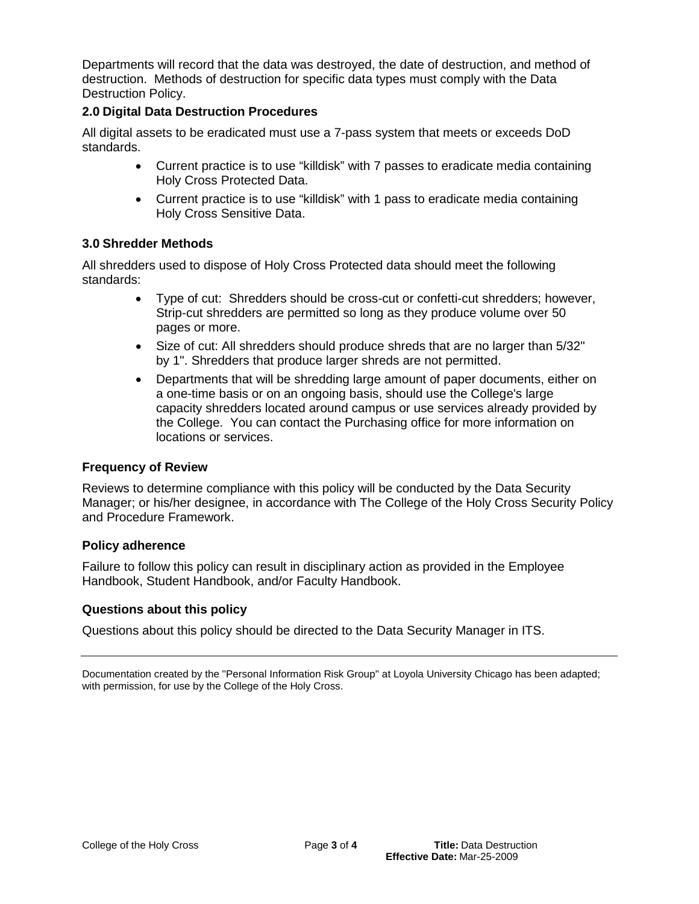Departments will record that the data was destroyed, the date of destruction, and method of destruction. Methods of destruction for specific data types must comply with the Data Destruction Policy.

#### **2.0 Digital Data Destruction Procedures**

All digital assets to be eradicated must use a 7-pass system that meets or exceeds DoD standards.

- Current practice is to use "killdisk" with 7 passes to eradicate media containing Holy Cross Protected Data.
- Current practice is to use "killdisk" with 1 pass to eradicate media containing Holy Cross Sensitive Data.

#### **3.0 Shredder Methods**

All shredders used to dispose of Holy Cross Protected data should meet the following standards:

- Type of cut: Shredders should be cross-cut or confetti-cut shredders; however, Strip-cut shredders are permitted so long as they produce volume over 50 pages or more.
- Size of cut: All shredders should produce shreds that are no larger than 5/32" by 1". Shredders that produce larger shreds are not permitted.
- Departments that will be shredding large amount of paper documents, either on a one-time basis or on an ongoing basis, should use the College's large capacity shredders located around campus or use services already provided by the College. You can contact the Purchasing office for more information on locations or services.

#### **Frequency of Review**

Reviews to determine compliance with this policy will be conducted by the Data Security Manager; or his/her designee, in accordance with The College of the Holy Cross Security Policy and Procedure Framework.

#### **Policy adherence**

Failure to follow this policy can result in disciplinary action as provided in the Employee Handbook, Student Handbook, and/or Faculty Handbook.

#### **Questions about this policy**

Questions about this policy should be directed to the Data Security Manager in ITS.

<span id="page-2-0"></span>Documentation created by the ''Personal Information Risk Group'' at Loyola University Chicago has been adapted; with permission, for use by the College of the Holy Cross.